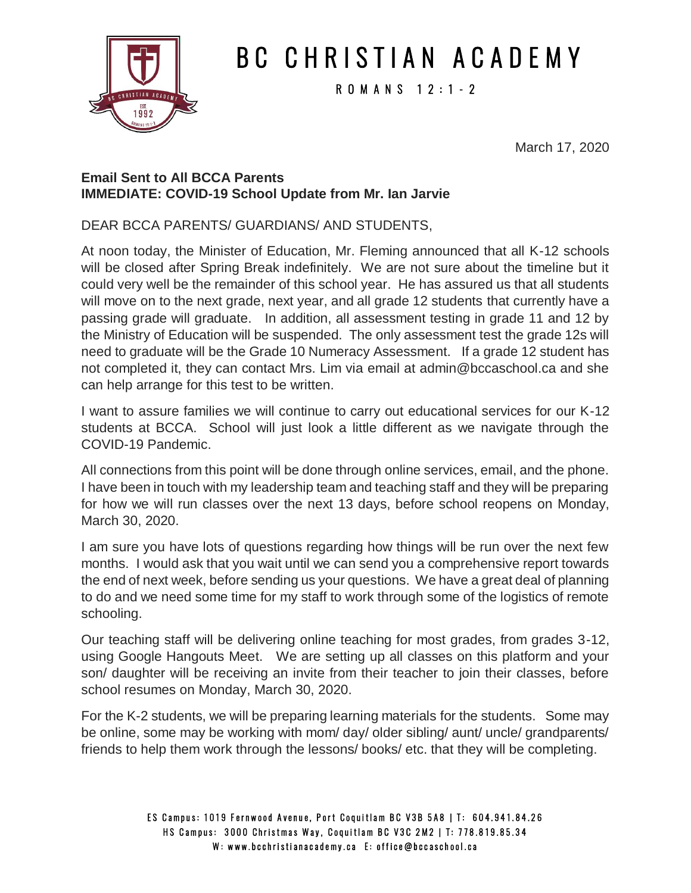

## B C C H R I S T I A N A C A D E M Y

R O M A N S 1 2 : 1 - 2

March 17, 2020

#### **Email Sent to All BCCA Parents IMMEDIATE: COVID-19 School Update from Mr. Ian Jarvie**

DEAR BCCA PARENTS/ GUARDIANS/ AND STUDENTS,

At noon today, the Minister of Education, Mr. Fleming announced that all K-12 schools will be closed after Spring Break indefinitely. We are not sure about the timeline but it could very well be the remainder of this school year. He has assured us that all students will move on to the next grade, next year, and all grade 12 students that currently have a passing grade will graduate. In addition, all assessment testing in grade 11 and 12 by the Ministry of Education will be suspended. The only assessment test the grade 12s will need to graduate will be the Grade 10 Numeracy Assessment. If a grade 12 student has not completed it, they can contact Mrs. Lim via email at admin@bccaschool.ca and she can help arrange for this test to be written.

I want to assure families we will continue to carry out educational services for our K-12 students at BCCA. School will just look a little different as we navigate through the COVID-19 Pandemic.

All connections from this point will be done through online services, email, and the phone. I have been in touch with my leadership team and teaching staff and they will be preparing for how we will run classes over the next 13 days, before school reopens on Monday, March 30, 2020.

I am sure you have lots of questions regarding how things will be run over the next few months. I would ask that you wait until we can send you a comprehensive report towards the end of next week, before sending us your questions. We have a great deal of planning to do and we need some time for my staff to work through some of the logistics of remote schooling.

Our teaching staff will be delivering online teaching for most grades, from grades 3-12, using Google Hangouts Meet. We are setting up all classes on this platform and your son/ daughter will be receiving an invite from their teacher to join their classes, before school resumes on Monday, March 30, 2020.

For the K-2 students, we will be preparing learning materials for the students. Some may be online, some may be working with mom/ day/ older sibling/ aunt/ uncle/ grandparents/ friends to help them work through the lessons/ books/ etc. that they will be completing.

> ES Campus: 1019 Fernwood Avenue, Port Coquitlam BC V3B 5A8 | T: 604.941.84.26 HS Campus: 3000 Christmas Way, Coquitlam BC V3C 2M2 | T: 778.819.85.34 W: www.bcchristianacademy.ca E: office@bccaschool.ca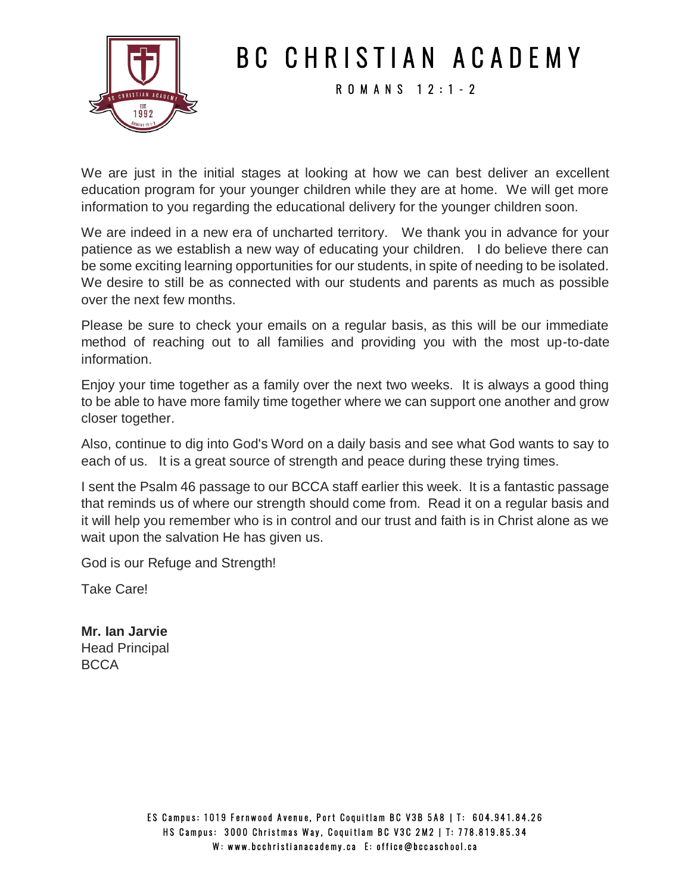

## B C C H R I S T I A N A C A D E M Y

R O M A N S 1 2 : 1 - 2

We are just in the initial stages at looking at how we can best deliver an excellent education program for your younger children while they are at home. We will get more information to you regarding the educational delivery for the younger children soon.

We are indeed in a new era of uncharted territory. We thank you in advance for your patience as we establish a new way of educating your children. I do believe there can be some exciting learning opportunities for our students, in spite of needing to be isolated. We desire to still be as connected with our students and parents as much as possible over the next few months.

Please be sure to check your emails on a regular basis, as this will be our immediate method of reaching out to all families and providing you with the most up-to-date information.

Enjoy your time together as a family over the next two weeks. It is always a good thing to be able to have more family time together where we can support one another and grow closer together.

Also, continue to dig into God's Word on a daily basis and see what God wants to say to each of us. It is a great source of strength and peace during these trying times.

I sent the Psalm 46 passage to our BCCA staff earlier this week. It is a fantastic passage that reminds us of where our strength should come from. Read it on a regular basis and it will help you remember who is in control and our trust and faith is in Christ alone as we wait upon the salvation He has given us.

God is our Refuge and Strength!

Take Care!

**Mr. Ian Jarvie** Head Principal **BCCA**